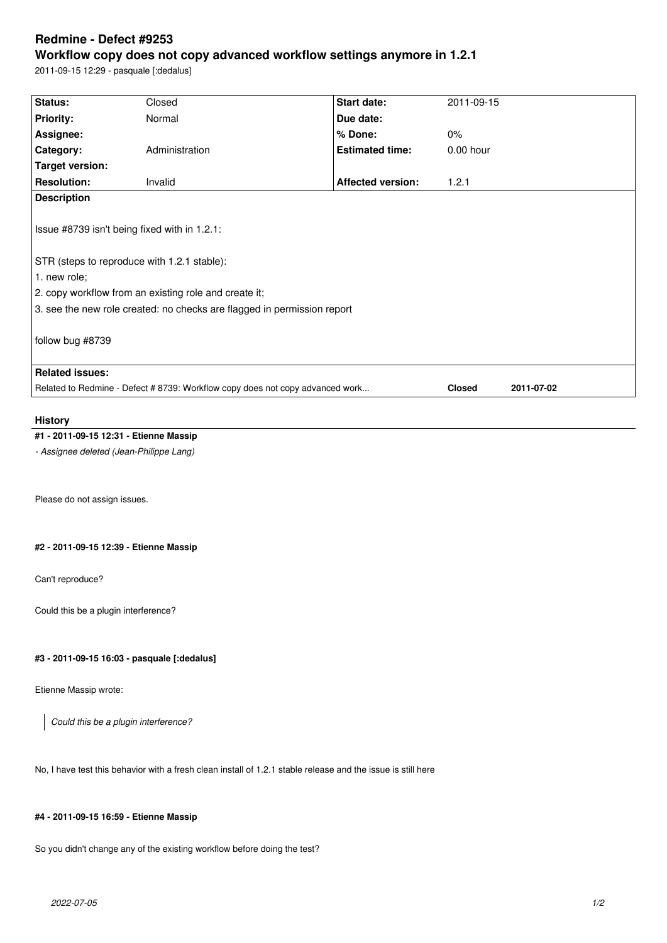# **Redmine - Defect #9253**

## **Workflow copy does not copy advanced workflow settings anymore in 1.2.1**

2011-09-15 12:29 - pasquale [:dedalus]

| Status:                                                                                                                                                                                                                                         | Closed         | Start date:              | 2011-09-15    |            |
|-------------------------------------------------------------------------------------------------------------------------------------------------------------------------------------------------------------------------------------------------|----------------|--------------------------|---------------|------------|
| <b>Priority:</b>                                                                                                                                                                                                                                | Normal         | Due date:                |               |            |
| Assignee:                                                                                                                                                                                                                                       |                | % Done:                  | $0\%$         |            |
| Category:                                                                                                                                                                                                                                       | Administration | <b>Estimated time:</b>   | $0.00$ hour   |            |
| <b>Target version:</b>                                                                                                                                                                                                                          |                |                          |               |            |
| <b>Resolution:</b>                                                                                                                                                                                                                              | Invalid        | <b>Affected version:</b> | 1.2.1         |            |
| <b>Description</b>                                                                                                                                                                                                                              |                |                          |               |            |
| Issue #8739 isn't being fixed with in 1.2.1:<br>STR (steps to reproduce with 1.2.1 stable):<br>1. new role;<br>2. copy workflow from an existing role and create it;<br>3. see the new role created: no checks are flagged in permission report |                |                          |               |            |
| follow bug #8739                                                                                                                                                                                                                                |                |                          |               |            |
| <b>Related issues:</b>                                                                                                                                                                                                                          |                |                          |               |            |
| Related to Redmine - Defect # 8739: Workflow copy does not copy advanced work                                                                                                                                                                   |                |                          | <b>Closed</b> | 2011-07-02 |
|                                                                                                                                                                                                                                                 |                |                          |               |            |

### **History**

## **#1 - 2011-09-15 12:31 - Etienne Massip**

*- Assignee deleted (Jean-Philippe Lang)*

Please do not assign issues.

## **#2 - 2011-09-15 12:39 - Etienne Massip**

Can't reproduce?

Could this be a plugin interference?

## **#3 - 2011-09-15 16:03 - pasquale [:dedalus]**

Etienne Massip wrote:

*Could this be a plugin interference?*

No, I have test this behavior with a fresh clean install of 1.2.1 stable release and the issue is still here

#### **#4 - 2011-09-15 16:59 - Etienne Massip**

So you didn't change any of the existing workflow before doing the test?